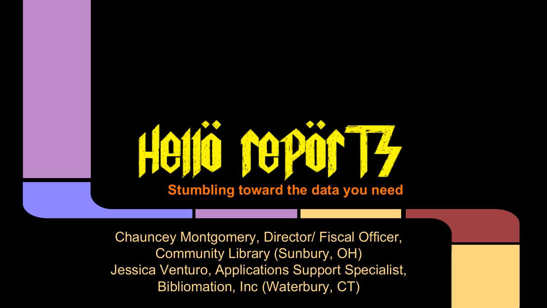

Chauncey Montgomery, Director/ Fiscal Officer, Community Library (Sunbury, OH) Jessica Venturo, Applications Support Specialist, Bibliomation, Inc (Waterbury, CT)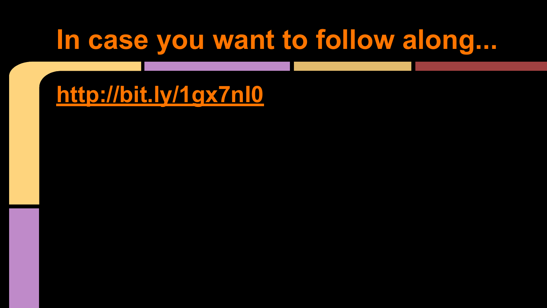# **In case you want to follow along...**

**<http://bit.ly/1gx7nI0>**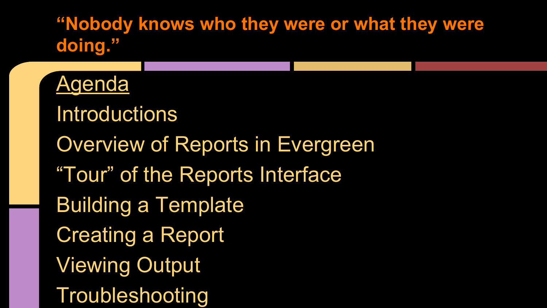**"Nobody knows who they were or what they were doing."**

**Agenda Introductions** Overview of Reports in Evergreen "Tour" of the Reports Interface Building a Template Creating a Report Viewing Output Troubleshooting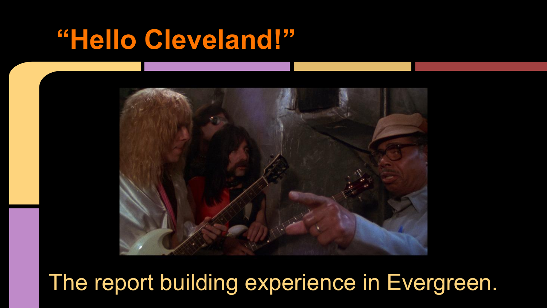## **"Hello Cleveland!"**



The report building experience in Evergreen.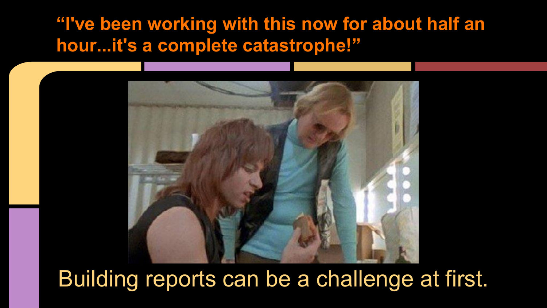### **"I've been working with this now for about half an hour...it's a complete catastrophe!"**



### Building reports can be a challenge at first.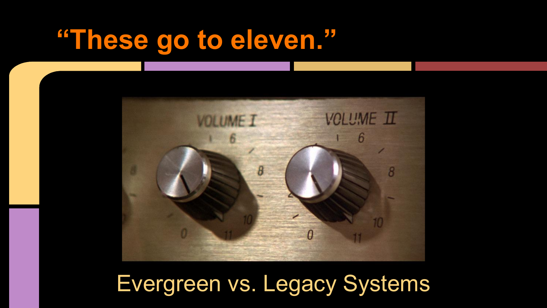# **"These go to eleven."**



## Evergreen vs. Legacy Systems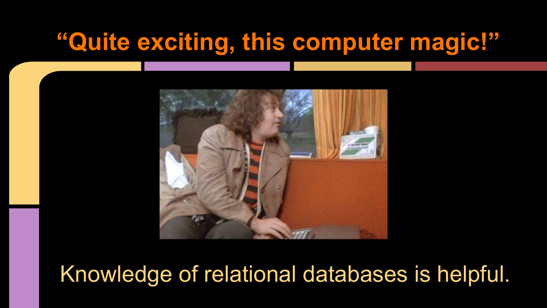### **"Quite exciting, this computer magic!"**



### Knowledge of relational databases is helpful.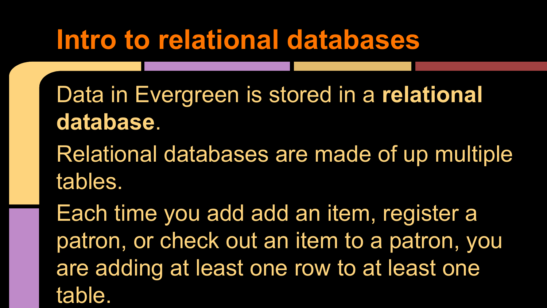# **Intro to relational databases**

Data in Evergreen is stored in a **relational database**.

Relational databases are made of up multiple tables.

Each time you add add an item, register a patron, or check out an item to a patron, you are adding at least one row to at least one table.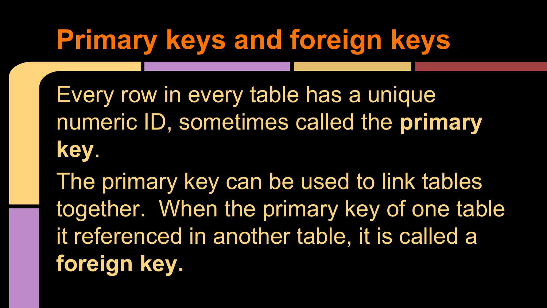# **Primary keys and foreign keys**

Every row in every table has a unique numeric ID, sometimes called the **primary key**.

The primary key can be used to link tables together. When the primary key of one table it referenced in another table, it is called a **foreign key.**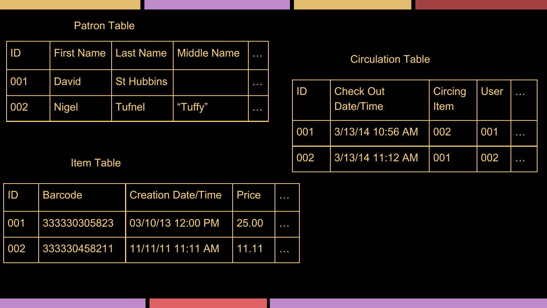#### Patron Table

| ID  |              |                   | First Name   Last Name   Middle Name | .   |
|-----|--------------|-------------------|--------------------------------------|-----|
| 001 | <b>David</b> | <b>St Hubbins</b> |                                      | --- |
| 002 | <b>Nigel</b> | <b>Tufnel</b>     | "Tuffy"                              | .   |

#### Circulation Table

| ID  | <b>Check Out</b><br>Date/Time | Circing<br>Item | <b>User</b> |    |
|-----|-------------------------------|-----------------|-------------|----|
| 001 | 3/13/14 10:56 AM              | 002             | 001         | -- |
| 002 | 3/13/14 11:12 AM              | 001             | 002         | .  |

Item Table

| ID  | <b>Barcode</b> | <b>Creation Date/Time</b>  | I Price |  |
|-----|----------------|----------------------------|---------|--|
| 001 | 333330305823   | 03/10/13 12:00 PM          | 25.00   |  |
| 002 | 333330458211   | <u>  11/11/11 11:11 AM</u> | 11.11   |  |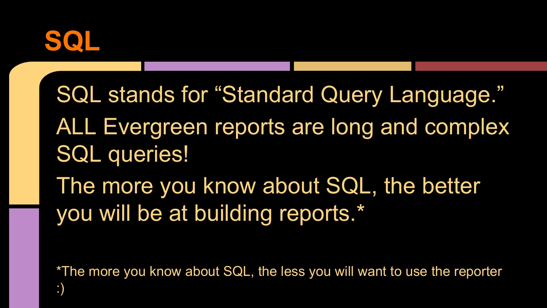

SQL stands for "Standard Query Language." ALL Evergreen reports are long and complex SQL queries! The more you know about SQL, the better you will be at building reports.\*

\*The more you know about SQL, the less you will want to use the reporter :)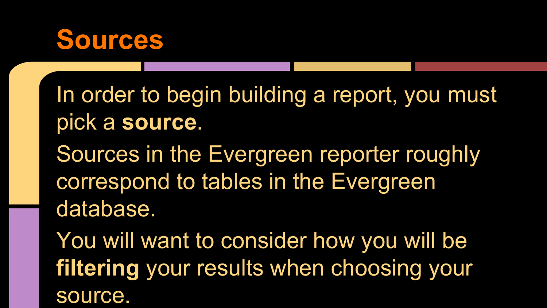## **Sources**

In order to begin building a report, you must pick a **source**.

Sources in the Evergreen reporter roughly correspond to tables in the Evergreen database.

You will want to consider how you will be **filtering** your results when choosing your source.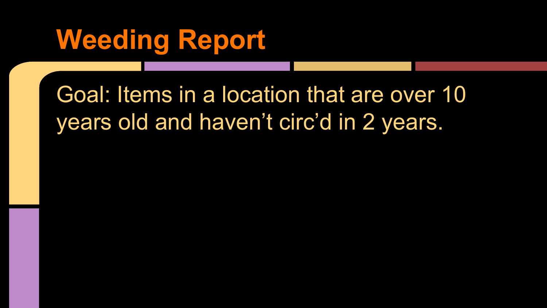# **Weeding Report**

## Goal: Items in a location that are over 10 years old and haven't circ'd in 2 years.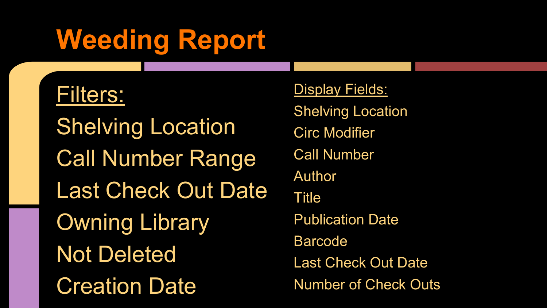# **Weeding Report**

### Filters:

**Shelving Location** Call Number Range Last Check Out Date Owning Library Not Deleted Creation Date

**Display Fields: Shelving Location** Circ Modifier Call Number Author Title Publication Date Barcode Last Check Out Date Number of Check Outs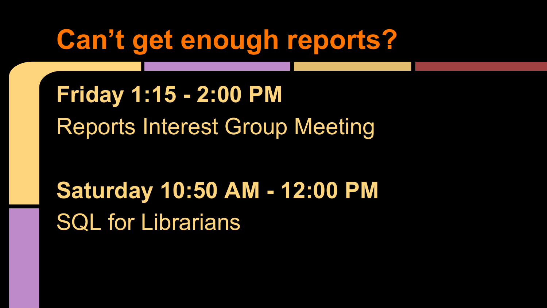# **Can't get enough reports?**

**Friday 1:15 - 2:00 PM** Reports Interest Group Meeting

**Saturday 10:50 AM - 12:00 PM** SQL for Librarians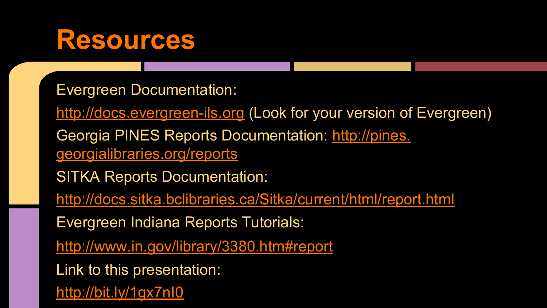## **Resources**

Evergreen Documentation:

<http://docs.evergreen-ils.org>(Look for your version of Evergreen)

Georgia PINES Reports Documentation: [http://pines.](http://pines.georgialibraries.org/reports) [georgialibraries.org/reports](http://pines.georgialibraries.org/reports)

SITKA Reports Documentation:

<http://docs.sitka.bclibraries.ca/Sitka/current/html/report.html>

Evergreen Indiana Reports Tutorials:

<http://www.in.gov/library/3380.htm#report>

Link to this presentation:

<http://bit.ly/1gx7nI0>